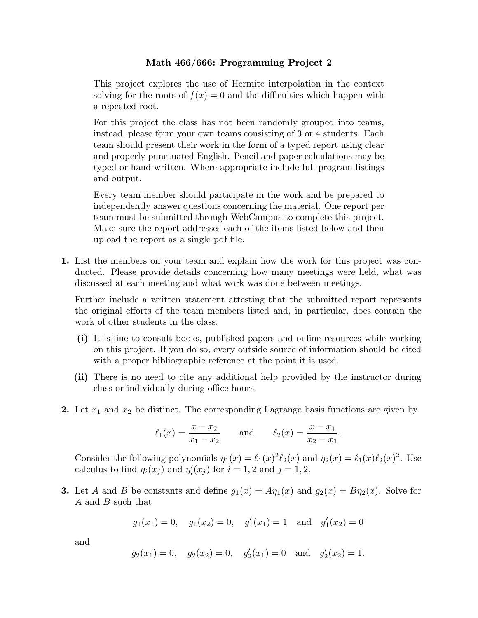## **Math 466/666: Programming Project 2**

This project explores the use of Hermite interpolation in the context solving for the roots of  $f(x) = 0$  and the difficulties which happen with a repeated root.

For this project the class has not been randomly grouped into teams, instead, please form your own teams consisting of 3 or 4 students. Each team should present their work in the form of a typed report using clear and properly punctuated English. Pencil and paper calculations may be typed or hand written. Where appropriate include full program listings and output.

Every team member should participate in the work and be prepared to independently answer questions concerning the material. One report per team must be submitted through WebCampus to complete this project. Make sure the report addresses each of the items listed below and then upload the report as a single pdf file.

**1.** List the members on your team and explain how the work for this project was conducted. Please provide details concerning how many meetings were held, what was discussed at each meeting and what work was done between meetings.

Further include a written statement attesting that the submitted report represents the original efforts of the team members listed and, in particular, does contain the work of other students in the class.

- **(i)** It is fine to consult books, published papers and online resources while working on this project. If you do so, every outside source of information should be cited with a proper bibliographic reference at the point it is used.
- **(ii)** There is no need to cite any additional help provided by the instructor during class or individually during office hours.
- **2.** Let *x*<sup>1</sup> and *x*<sup>2</sup> be distinct. The corresponding Lagrange basis functions are given by

$$
\ell_1(x) = \frac{x - x_2}{x_1 - x_2}
$$
 and  $\ell_2(x) = \frac{x - x_1}{x_2 - x_1}$ .

Consider the following polynomials  $\eta_1(x) = \ell_1(x)^2 \ell_2(x)$  and  $\eta_2(x) = \ell_1(x) \ell_2(x)^2$ . Use calculus to find  $\eta_i(x_j)$  and  $\eta'_i(x_j)$  for  $i = 1, 2$  and  $j = 1, 2$ .

**3.** Let *A* and *B* be constants and define  $g_1(x) = A\eta_1(x)$  and  $g_2(x) = B\eta_2(x)$ . Solve for *A* and *B* such that

$$
g_1(x_1) = 0
$$
,  $g_1(x_2) = 0$ ,  $g'_1(x_1) = 1$  and  $g'_1(x_2) = 0$ 

and

$$
g_2(x_1) = 0
$$
,  $g_2(x_2) = 0$ ,  $g'_2(x_1) = 0$  and  $g'_2(x_2) = 1$ .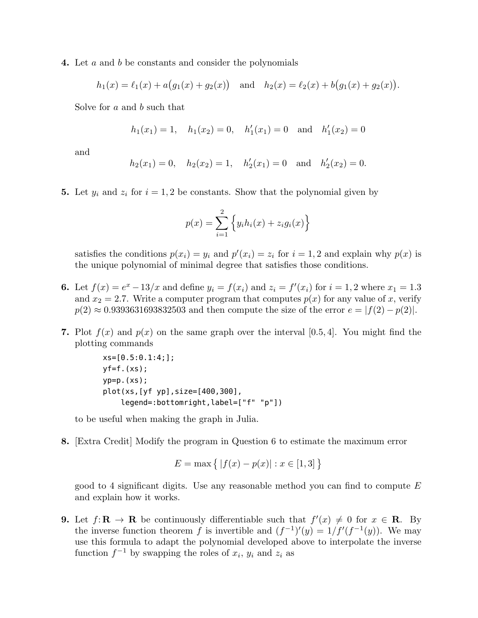**4.** Let *a* and *b* be constants and consider the polynomials

$$
h_1(x) = \ell_1(x) + a(g_1(x) + g_2(x))
$$
 and  $h_2(x) = \ell_2(x) + b(g_1(x) + g_2(x)).$ 

Solve for *a* and *b* such that

$$
h_1(x_1) = 1
$$
,  $h_1(x_2) = 0$ ,  $h'_1(x_1) = 0$  and  $h'_1(x_2) = 0$ 

and

$$
h_2(x_1) = 0
$$
,  $h_2(x_2) = 1$ ,  $h'_2(x_1) = 0$  and  $h'_2(x_2) = 0$ .

**5.** Let  $y_i$  and  $z_i$  for  $i = 1, 2$  be constants. Show that the polynomial given by

$$
p(x) = \sum_{i=1}^{2} \left\{ y_i h_i(x) + z_i g_i(x) \right\}
$$

satisfies the conditions  $p(x_i) = y_i$  and  $p'(x_i) = z_i$  for  $i = 1, 2$  and explain why  $p(x)$  is the unique polynomial of minimal degree that satisfies those conditions.

- **6.** Let  $f(x) = e^x 13/x$  and define  $y_i = f(x_i)$  and  $z_i = f'(x_i)$  for  $i = 1, 2$  where  $x_1 = 1.3$ and  $x_2 = 2.7$ . Write a computer program that computes  $p(x)$  for any value of *x*, verify  $p(2) \approx 0.9393631693832503$  and then compute the size of the error  $e = |f(2) - p(2)|$ .
- **7.** Plot  $f(x)$  and  $p(x)$  on the same graph over the interval [0.5, 4]. You might find the plotting commands

```
xs=[0.5:0.1:4;];
yf=f.(xs);
yp=p.(xs);plot(xs,[yf yp],size=[400,300],
    legend=:bottomright,label=["f" "p"])
```
to be useful when making the graph in Julia.

**8.** [Extra Credit] Modify the program in Question 6 to estimate the maximum error

$$
E = \max \left\{ |f(x) - p(x)| : x \in [1,3] \right\}
$$

good to 4 significant digits. Use any reasonable method you can find to compute *E* and explain how it works.

**9.** Let  $f: \mathbf{R} \to \mathbf{R}$  be continuously differentiable such that  $f'(x) \neq 0$  for  $x \in \mathbf{R}$ . By the inverse function theorem *f* is invertible and  $(f^{-1})'(y) = 1/f'(f^{-1}(y))$ . We may use this formula to adapt the polynomial developed above to interpolate the inverse function  $f^{-1}$  by swapping the roles of  $x_i$ ,  $y_i$  and  $z_i$  as